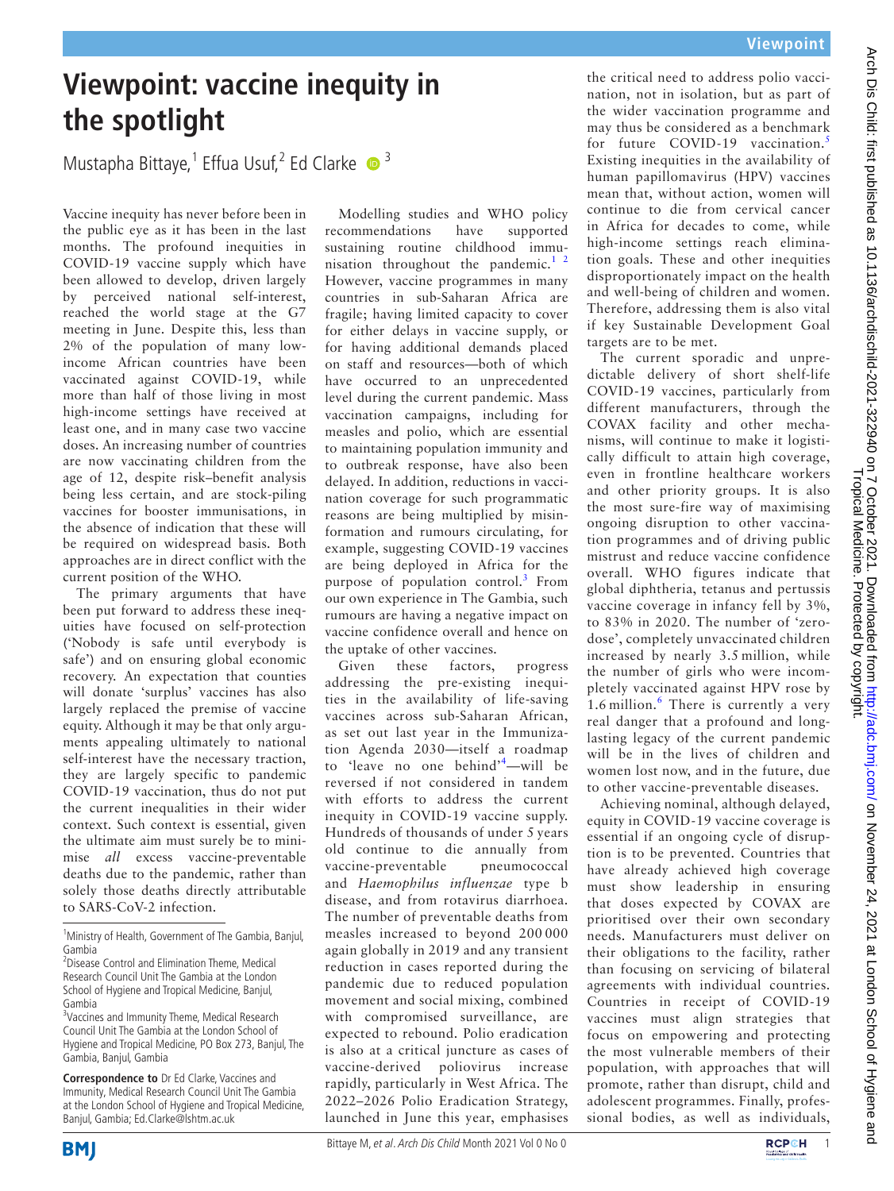## **Viewpoint: vaccine inequity in the spotlight**

Mustapha Bittaye,<sup>1</sup> Effua Usuf,<sup>2</sup> Ed Clarke  $\bullet$ <sup>3</sup>

Vaccine inequity has never before been in the public eye as it has been in the last months. The profound inequities in COVID-19 vaccine supply which have been allowed to develop, driven largely by perceived national self-interest, reached the world stage at the G7 meeting in June. Despite this, less than 2% of the population of many lowincome African countries have been vaccinated against COVID-19, while more than half of those living in most high-income settings have received at least one, and in many case two vaccine doses. An increasing number of countries are now vaccinating children from the age of 12, despite risk–benefit analysis being less certain, and are stock-piling vaccines for booster immunisations, in the absence of indication that these will be required on widespread basis. Both approaches are in direct conflict with the current position of the WHO.

The primary arguments that have been put forward to address these inequities have focused on self-protection ('Nobody is safe until everybody is safe') and on ensuring global economic recovery. An expectation that counties will donate 'surplus' vaccines has also largely replaced the premise of vaccine equity. Although it may be that only arguments appealing ultimately to national self-interest have the necessary traction, they are largely specific to pandemic COVID-19 vaccination, thus do not put the current inequalities in their wider context. Such context is essential, given the ultimate aim must surely be to minimise *all* excess vaccine-preventable deaths due to the pandemic, rather than solely those deaths directly attributable to SARS-CoV-2 infection.

Modelling studies and WHO policy recommendations have supported sustaining routine childhood immunisation throughout the pandemic.<sup>1</sup> <sup>2</sup> However, vaccine programmes in many countries in sub-Saharan Africa are fragile; having limited capacity to cover for either delays in vaccine supply, or for having additional demands placed on staff and resources—both of which have occurred to an unprecedented level during the current pandemic. Mass vaccination campaigns, including for measles and polio, which are essential to maintaining population immunity and to outbreak response, have also been delayed. In addition, reductions in vaccination coverage for such programmatic reasons are being multiplied by misinformation and rumours circulating, for example, suggesting COVID-19 vaccines are being deployed in Africa for the purpose of population control.<sup>[3](#page-1-1)</sup> From our own experience in The Gambia, such rumours are having a negative impact on vaccine confidence overall and hence on the uptake of other vaccines.

Given these factors, progress addressing the pre-existing inequities in the availability of life-saving vaccines across sub-Saharan African, as set out last year in the Immunization Agenda 2030—itself a roadmap to 'leave no one behind'<sup>[4](#page-1-2)</sup>—will be reversed if not considered in tandem with efforts to address the current inequity in COVID-19 vaccine supply. Hundreds of thousands of under 5 years old continue to die annually from vaccine-preventable pneumococcal and *Haemophilus influenzae* type b disease, and from rotavirus diarrhoea. The number of preventable deaths from measles increased to beyond 200 000 again globally in 2019 and any transient reduction in cases reported during the pandemic due to reduced population movement and social mixing, combined with compromised surveillance, are expected to rebound. Polio eradication is also at a critical juncture as cases of vaccine-derived poliovirus increase rapidly, particularly in West Africa. The 2022–2026 Polio Eradication Strategy, launched in June this year, emphasises

the critical need to address polio vaccination, not in isolation, but as part of the wider vaccination programme and may thus be considered as a benchmark for future COVID-19 vaccination.<sup>[5](#page-1-3)</sup> Existing inequities in the availability of human papillomavirus (HPV) vaccines mean that, without action, women will continue to die from cervical cancer in Africa for decades to come, while high-income settings reach elimination goals. These and other inequities disproportionately impact on the health and well-being of children and women. Therefore, addressing them is also vital if key Sustainable Development Goal targets are to be met.

The current sporadic and unpredictable delivery of short shelf-life COVID-19 vaccines, particularly from different manufacturers, through the COVAX facility and other mechanisms, will continue to make it logistically difficult to attain high coverage, even in frontline healthcare workers and other priority groups. It is also the most sure-fire way of maximising ongoing disruption to other vaccination programmes and of driving public mistrust and reduce vaccine confidence overall. WHO figures indicate that global diphtheria, tetanus and pertussis vaccine coverage in infancy fell by 3%, to 83% in 2020. The number of 'zerodose', completely unvaccinated children increased by nearly 3.5 million, while the number of girls who were incompletely vaccinated against HPV rose by 1.[6](#page-1-4) million.<sup>6</sup> There is currently a very real danger that a profound and longlasting legacy of the current pandemic will be in the lives of children and women lost now, and in the future, due to other vaccine-preventable diseases.

Achieving nominal, although delayed, equity in COVID-19 vaccine coverage is essential if an ongoing cycle of disruption is to be prevented. Countries that have already achieved high coverage must show leadership in ensuring that doses expected by COVAX are prioritised over their own secondary needs. Manufacturers must deliver on their obligations to the facility, rather than focusing on servicing of bilateral agreements with individual countries. Countries in receipt of COVID-19 vaccines must align strategies that focus on empowering and protecting the most vulnerable members of their population, with approaches that will promote, rather than disrupt, child and adolescent programmes. Finally, professional bodies, as well as individuals,





<sup>&</sup>lt;sup>1</sup>Ministry of Health, Government of The Gambia, Banjul, Gambia

<sup>2</sup> Disease Control and Elimination Theme, Medical Research Council Unit The Gambia at the London School of Hygiene and Tropical Medicine, Banjul, Gambia

<sup>&</sup>lt;sup>3</sup>Vaccines and Immunity Theme, Medical Research Council Unit The Gambia at the London School of Hygiene and Tropical Medicine, PO Box 273, Banjul, The Gambia, Banjul, Gambia

**Correspondence to** Dr Ed Clarke, Vaccines and Immunity, Medical Research Council Unit The Gambia at the London School of Hygiene and Tropical Medicine, Banjul, Gambia; Ed.Clarke@lshtm.ac.uk